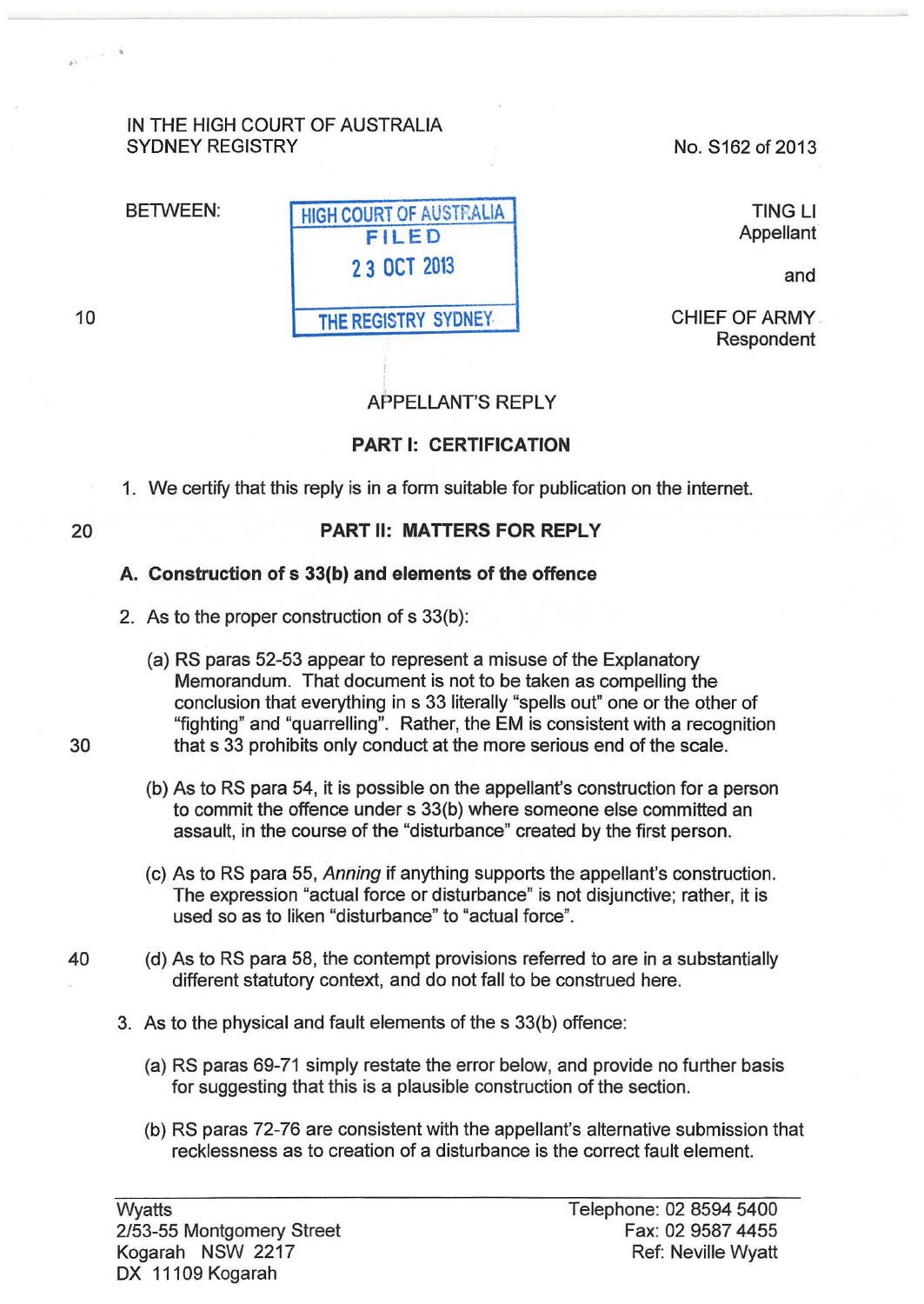### IN THE HIGH COURT OF AUSTRALIA SYDNEY REGISTRY

No. S162 of 2013

TING Ll Appellant

and

CHIEF OF ARMY . Respondent

# APPELLANT'S REPLY

#### **PART 1: CERTIFICATION**

1. We certify that this reply is in a form suitable for publication on the internet.

**THE** REG1STRY SYDNEY.

20

10

 $\mathcal{L}^{(1)}$  ,  $\mathcal{L}^{(1)}$  ,  $\mathcal{L}^{(2)}$ 

## **PART II: MATIERS FOR REPLY**

#### **A. Construction of s 33(b) and elements of the offence**

- 2. As to the proper construction of s 33(b):
- (a) RS paras 52-53 appear to represent a misuse of the Explanatory Memorandum. That document is not to be taken as compelling the conclusion that everything in s 33 literally "spells out" one or the other of "fighting" and "quarrelling". Rather, the EM is consistent with a recognition 30 that s 33 prohibits only conduct at the more serious end of the scale.
	- (b) As to RS para 54, it is possible on the appellant's construction for a person to commit the offence under s 33(b) where someone else committed an assault, in the course of the "disturbance" created by the first person.
	- (c) As to RS para 55, Anning if anything supports the appellant's construction. The expression "actual force or disturbance" is not disjunctive; rather, it is used so as to liken "disturbance" to "actual force".
- 40 (d) As toRS para 58, the contempt provisions referred to are in a substantially different statutory context, and do not fall to be construed here.
	- 3. As to the physical and fault elements of the s 33(b) offence:
		- (a) RS paras 69-71 simply restate the error below, and provide no further basis for suggesting that this is a plausible construction of the section.
		- (b) RS paras 72-76 are consistent with the appellant's alternative submission that recklessness as to creation of a disturbance is the correct fault element.

**Wyatts** 2/53-55 Montgomery Street Kogarah NSW 2217 DX 11109 Kogarah

BETWEEN: HIGH COURT OF AUSTRALIA **FILED 2 3 OCT** <sup>2013</sup>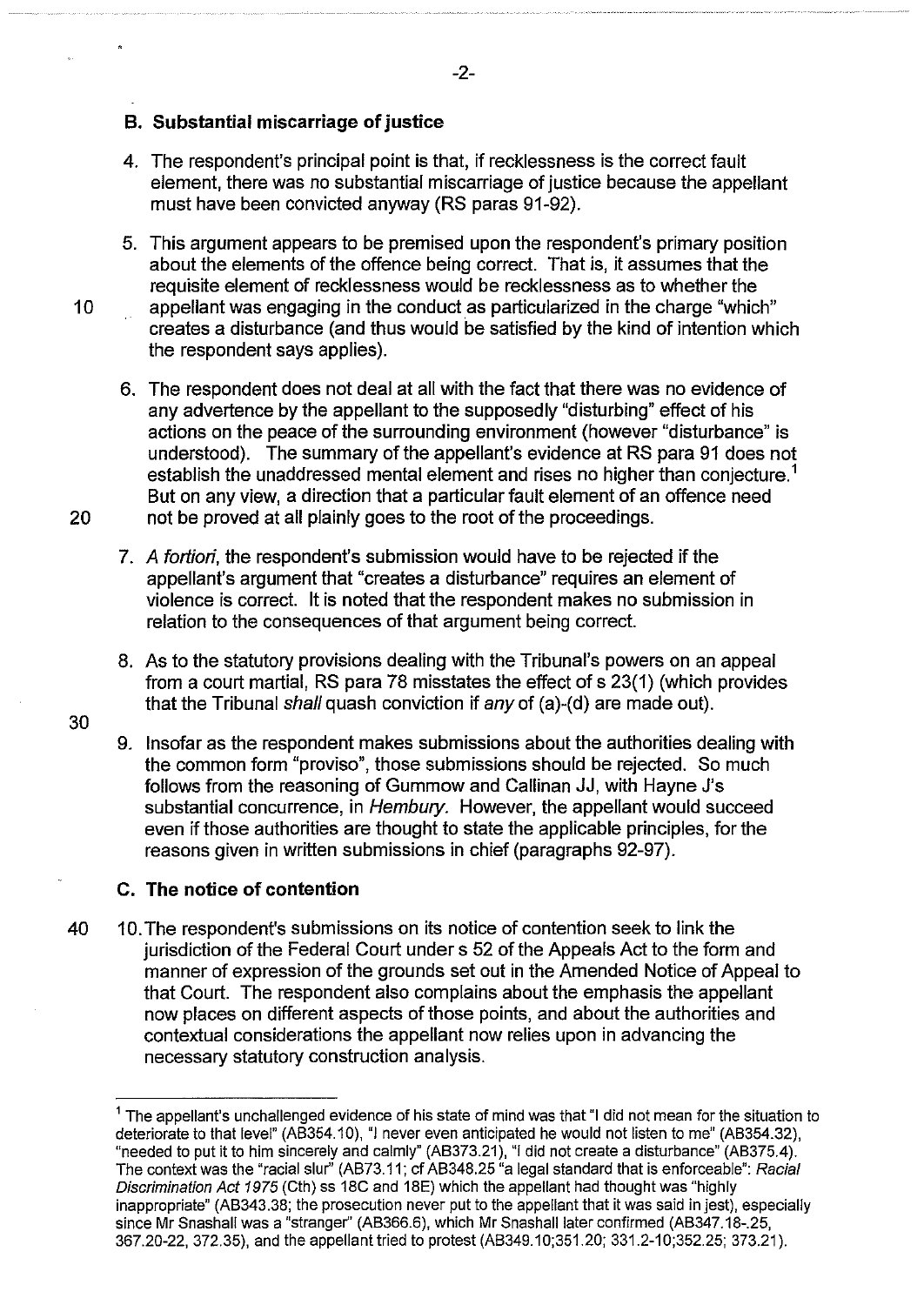#### **B. Substantial miscarriage of justice**

- 4. The respondent's principal point is that, if recklessness is the correct fault element, there was no substantial miscarriage of justice because the appellant must have been convicted anyway (RS paras 91-92).
- 5. This argument appears to be premised upon the respondent's primary position about the elements of the offence being correct. That is, it assumes that the requisite element of recklessness would be recklessness as to whether the
- 10 appellant was engaging in the conduct as particularized in the charge "which" creates a disturbance (and thus would be satisfied by the kind of intention which the respondent says applies).
- 6. The respondent does not deal at all with the fact that there was no evidence of any advertence by the appellant to the supposedly "disturbing" effect of his actions on the peace of the surrounding environment (however "disturbance" is understood). The summary of the appellant's evidence at RS para 91 does not establish the unaddressed mental element and rises no higher than conjecture.<sup>1</sup> But on any view, a direction that a particular fault element of an offence need 20 not be proved at all plainly goes to the root of the proceedings.
	- 7. *A* fortiori, the respondent's submission would have to be rejected if the appellant's argument that "creates a disturbance" requires an element of violence is correct. It is noted that the respondent makes no submission in relation to the consequences of that argument being correct.
	- 8. As to the statutory provisions dealing with the Tribunal's powers on an appeal from a court martial, RS para 78 misstates the effect of s 23(1) (which provides that the Tribunal shall quash conviction if any of (a)-(d) are made out).
	- 9. Insofar as the respondent makes submissions about the authorities dealing with the common form "proviso", those submissions should be rejected. So much follows from the reasoning of Gummow and Callinan JJ, with Hayne J's substantial concurrence, in Hembury. However, the appellant would succeed even if those authorities are thought to state the applicable principles, for the reasons given in written submissions in chief (paragraphs 92-97).

#### **C. The notice of contention**

40 10. The respondent's submissions on its notice of contention seek to link the jurisdiction of the Federal Court under s 52 of the Appeals Act to the form and manner of expression of the grounds set out in the Amended Notice of Appeal to that Court. The respondent also complains about the emphasis the appellant now places on different aspects of those points, and about the authorities and contextual considerations the appellant now relies upon in advancing the necessary statutory construction analysis.

30

-2-

 $<sup>1</sup>$  The appellant's unchallenged evidence of his state of mind was that  $<sup>1</sup>$  did not mean for the situation to</sup></sup> deteriorate to that level" (AB354.10), "I never even anticipated he would not listen to me" (AB354.32), "needed to put it to him sincerely and calmly" (AB373.21 ), "I did not create a disturbance" (AB375.4). The context was the "racial slur" (AB73.11; cf AB348.25 "a legal standard that is enforceable": Racial Discrimination Act 1975 (Cth) ss 18C and 18E) which the appellant had thought was "highly inappropriate" (AB343.38; the prosecution never put to the appellant that it was said in jest), especially since Mr Snashall was a "stranger" (AB366.6), which Mr Snashall later confirmed (AB347.18-.25, 367.20-22, 372.35), and the appellant tried to protest (AB349.10;351.20; 331.2-1 0;352.25; 373.21 ).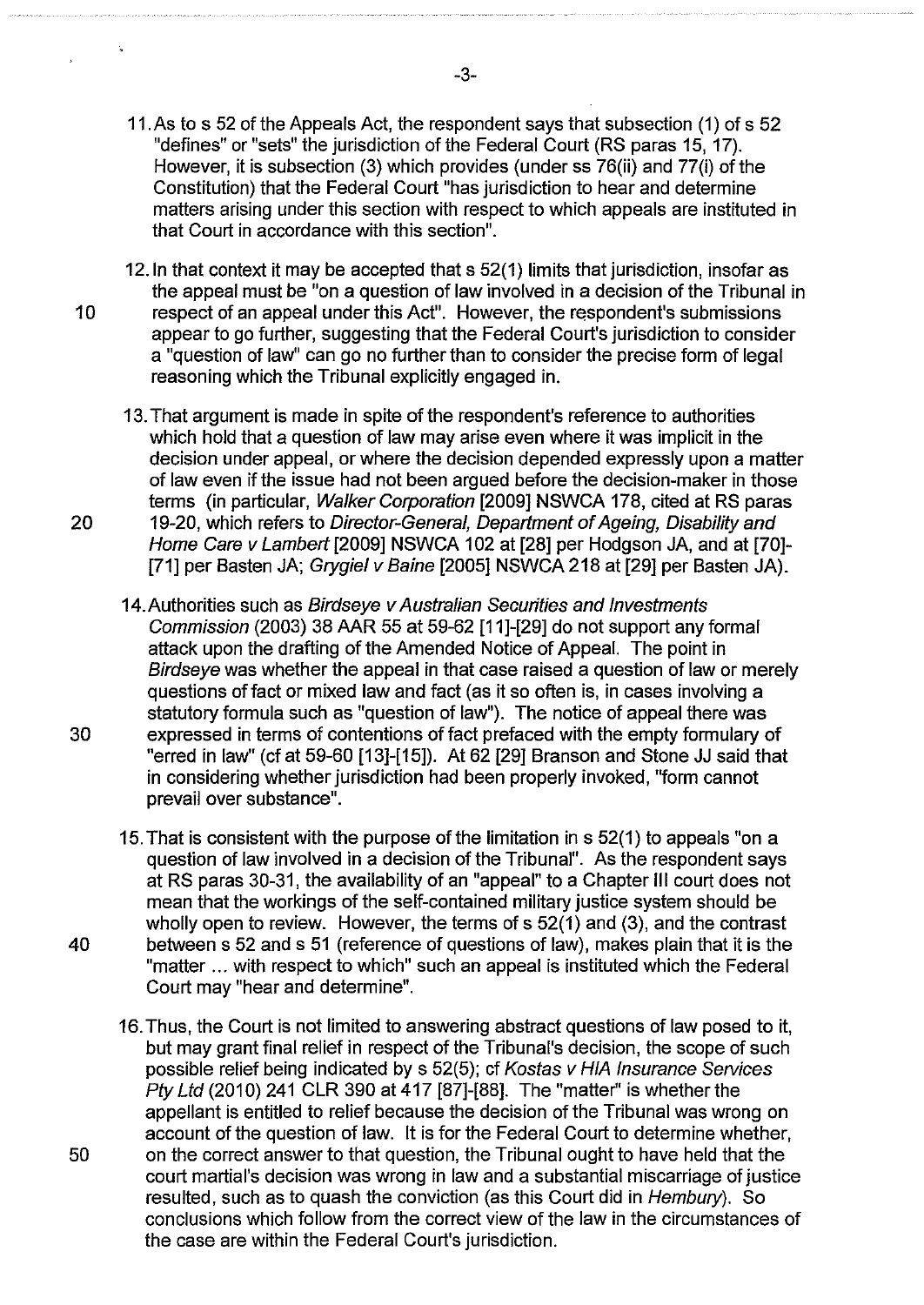- 11.As to s 52 of the Appeals Act, the respondent says that subsection (1) of s 52 "defines" or "sets" the jurisdiction of the Federal Court (RS paras 15, 17). However, it is subsection (3) which provides (under ss 76(ii) and 77(i) of the Constitution) that the Federal Court "has jurisdiction to hear and determine matters arising under this section with respect to which appeals are instituted in that Court in accordance with this section".
- 12.1n that context it may be accepted that s 52(1) limits that jurisdiction, insofar as the appeal must be "on a question of law involved in a decision of the Tribunal in 10 respect of an appeal under this Act". However, the respondent's submissions appear to go further, suggesting that the Federal Court's jurisdiction to consider a "question of law" can go no further than to consider the precise form of legal reasoning which the Tribunal explicitly engaged in.
- 13. That argument is made in spite of the respondent's reference to authorities which hold that a question of law may arise even where it was implicit in the decision under appeal, or where the decision depended expressly upon a matter of law even if the issue had not been argued before the decision-maker in those terms (in particular, Walker Corporation [2009] NSWCA 178, cited at RS paras 20 19-20, which refers to Director-General, Department of Ageing, Disability and Home Care v Lambert [2009] NSWCA 102 at [28] per Hodgson JA, and at [70]-[71] per Basten JA; Grygiel v Baine [2005] NSWCA 218 at [29] per Basten JA).
- 14. Authorities such as Birdseye v Australian Securities and Investments Commission (2003) 38 AAR 55 at 59-62 [11]-[29] do not support any formal attack upon the drafting of the Amended Notice of Appeal. The point in Birdseye was whether the appeal in that case raised a question of law or merely questions of fact or mixed law and fact (as it so often is, in cases involving a statutory formula such as "question of law"). The notice of appeal there was 30 expressed in terms of contentions of fact prefaced with the empty formulary of "erred in law" (cf at 59-60 [13]-[15]). At 62 [29] Branson and Stone JJ said that in considering whether jurisdiction had been properly invoked, "form cannot prevail over substance".
- 15. That is consistent with the purpose of the limitation in s 52(1) to appeals "on a question of law involved in a decision of the Tribunal". As the respondent says at RS paras 30-31, the availability of an "appeal" to a Chapter Ill court does not mean that the workings of the self-contained military justice system should be wholly open to review. However, the terms of s 52(1) and (3), and the contrast 40 between s 52 and s 51 (reference of questions of law), makes plain that it is the "matter ... with respect to which" such an appeal is instituted which the Federal Court may "hear and determine".
- 16. Thus, the Court is not limited to answering abstract questions of law posed to it, but may grant final relief in respect of the Tribunal's decision, the scope of such possible relief being indicated by s 52(5); cf Kostas v HIA Insurance Services Pty Ltd (2010) 241 CLR 390 at 417 [87]-[88]. The "matter" is whether the appellant is entitled to relief because the decision of the Tribunal was wrong on account of the question of law. It is for the Federal Court to determine whether, 50 on the correct answer to that question, the Tribunal ought to have held that the court martial's decision was wrong in law and a substantial miscarriage of justice resulted, such as to quash the conviction (as this Court did in Hembury). So conclusions which follow from the correct view of the law in the circumstances of the case are within the Federal Court's jurisdiction.

j,

-3-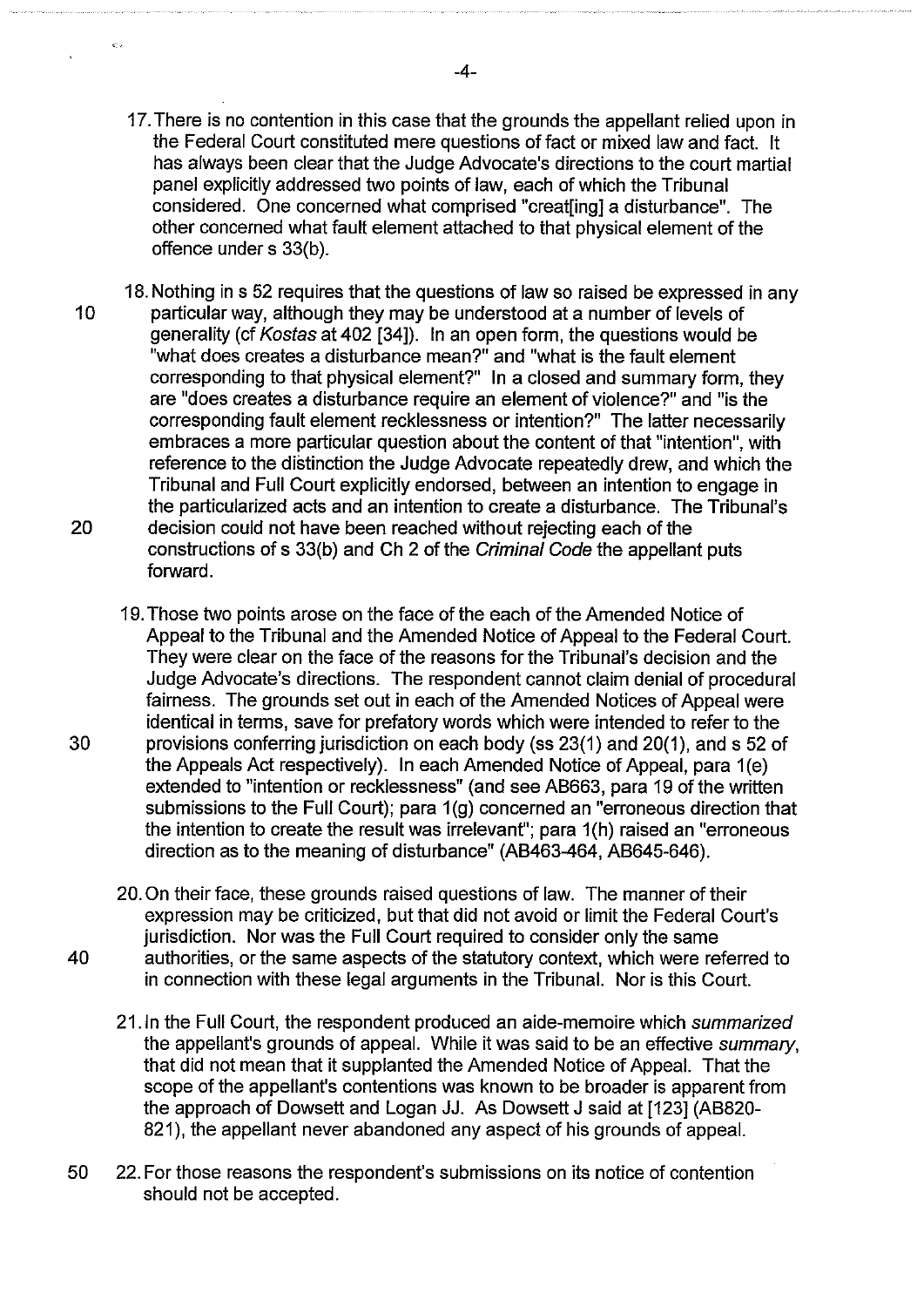- 17. There is no contention in this case that the grounds the appellant relied upon in the Federal Court constituted mere questions of fact or mixed law and fact. It has always been clear that the Judge Advocate's directions to the court martial panel explicitly addressed two points of law, each of which the Tribunal considered. One concerned what comprised "creat[ing] a disturbance". The other concerned what fault element attached to that physical element of the offence under s 33(b).
- 18. Nothing in s 52 requires that the questions of law so raised be expressed in any 10 particular way, although they may be understood at a number of levels of generality (cf Kostas at 402 [34]). In an open form, the questions would be "what does creates a disturbance mean?" and "what is the fault element corresponding to that physical element?" In a closed and summary form, they are "does creates a disturbance require an element of violence?" and "is the corresponding fault element recklessness or intention?" The latter necessarily embraces a more particular question about the content of that "intention", with reference to the distinction the Judge Advocate repeatedly drew, and which the Tribunal and Full Court explicitly endorsed, between an intention to engage in the particularized acts and an intention to create a disturbance. The Tribunal's 20 decision could not have been reached without rejecting each of the constructions of s 33(b) and Ch 2 of the Criminal Code the appellant puts forward.
- 19. Those two points arose on the face of the each of the Amended Notice of Appeal to the Tribunal and the Amended Notice of Appeal to the Federal Court. They were clear on the face of the reasons for the Tribunal's decision and the Judge Advocate's directions. The respondent cannot claim denial of procedural fairness. The grounds set out in each of the Amended Notices of Appeal were identical in terms, save for prefatory words which were intended to refer to the 30 provisions conferring jurisdiction on each body (ss 23(1) and 20(1 ), and s 52 of the Appeals Act respectively). In each Amended Notice of Appeal, para 1 (e) extended to "intention or recklessness" (and see AB663, para 19 of the written submissions to the Full Court); para  $1(q)$  concerned an "erroneous direction that the intention to create the result was irrelevant"; para 1(h) raised an "erroneous direction as to the meaning of disturbance" (AB463-464, AB645-646).
- 20. On their face, these grounds raised questions of law. The manner of their expression may be criticized, but that did not avoid or limit the Federal Court's jurisdiction. Nor was the Full Court required to consider only the same 40 authorities, or the same aspects of the statutory context, which were referred to in connection with these legal arguments in the Tribunal. Nor is this Court.
	- 21.1n the Full Court, the respondent produced an aide-memoire which summarized the appellant's grounds of appeal. While it was said to be an effective summary, that did not mean that it supplanted the Amended Notice of Appeal. That the scope of the appellant's contentions was known to be broader is apparent from the approach of Dowsett and Logan JJ. As Dowsett J said at [123] (AB820- 821), the appellant never abandoned any aspect of his grounds of appeal.
- 50 22. For those reasons the respondent's submissions on its notice of contention should not be accepted.

 $\frac{1}{2} \frac{d^2}{dt^2}$